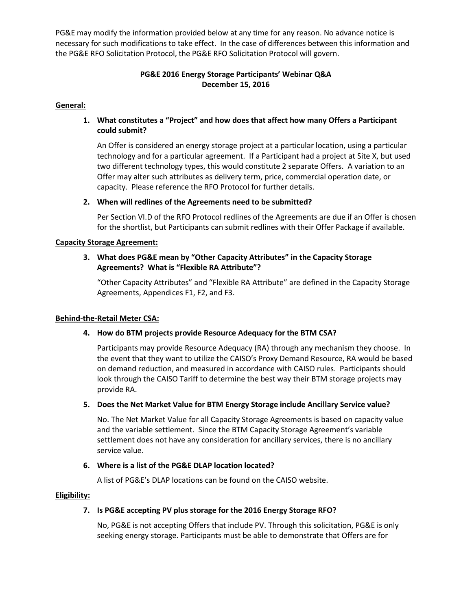PG&E may modify the information provided below at any time for any reason. No advance notice is necessary for such modifications to take effect. In the case of differences between this information and the PG&E RFO Solicitation Protocol, the PG&E RFO Solicitation Protocol will govern.

# **PG&E 2016 Energy Storage Participants' Webinar Q&A December 15, 2016**

### **General:**

## **1. What constitutes a "Project" and how does that affect how many Offers a Participant could submit?**

An Offer is considered an energy storage project at a particular location, using a particular technology and for a particular agreement. If a Participant had a project at Site X, but used two different technology types, this would constitute 2 separate Offers. A variation to an Offer may alter such attributes as delivery term, price, commercial operation date, or capacity. Please reference the RFO Protocol for further details.

#### **2. When will redlines of the Agreements need to be submitted?**

Per Section VI.D of the RFO Protocol redlines of the Agreements are due if an Offer is chosen for the shortlist, but Participants can submit redlines with their Offer Package if available.

#### **Capacity Storage Agreement:**

### **3. What does PG&E mean by "Other Capacity Attributes" in the Capacity Storage Agreements? What is "Flexible RA Attribute"?**

"Other Capacity Attributes" and "Flexible RA Attribute" are defined in the Capacity Storage Agreements, Appendices F1, F2, and F3.

#### **Behind-the-Retail Meter CSA:**

#### **4. How do BTM projects provide Resource Adequacy for the BTM CSA?**

Participants may provide Resource Adequacy (RA) through any mechanism they choose. In the event that they want to utilize the CAISO's Proxy Demand Resource, RA would be based on demand reduction, and measured in accordance with CAISO rules. Participants should look through the CAISO Tariff to determine the best way their BTM storage projects may provide RA.

#### **5. Does the Net Market Value for BTM Energy Storage include Ancillary Service value?**

No. The Net Market Value for all Capacity Storage Agreements is based on capacity value and the variable settlement. Since the BTM Capacity Storage Agreement's variable settlement does not have any consideration for ancillary services, there is no ancillary service value.

#### **6. Where is a list of the PG&E DLAP location located?**

A list of PG&E's DLAP locations can be found on the CAISO website.

#### **Eligibility:**

#### **7. Is PG&E accepting PV plus storage for the 2016 Energy Storage RFO?**

No, PG&E is not accepting Offers that include PV. Through this solicitation, PG&E is only seeking energy storage. Participants must be able to demonstrate that Offers are for